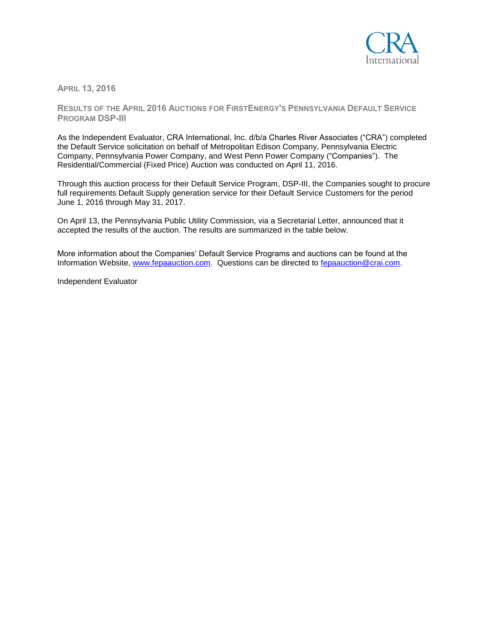

**APRIL 13, 2016**

**RESULTS OF THE APRIL 2016 AUCTIONS FOR FIRSTENERGY'S PENNSYLVANIA DEFAULT SERVICE PROGRAM DSP-III**

As the Independent Evaluator, CRA International, Inc. d/b/a Charles River Associates ("CRA") completed the Default Service solicitation on behalf of Metropolitan Edison Company, Pennsylvania Electric Company, Pennsylvania Power Company, and West Penn Power Company ("Companies"). The Residential/Commercial (Fixed Price) Auction was conducted on April 11, 2016.

Through this auction process for their Default Service Program, DSP-III, the Companies sought to procure full requirements Default Supply generation service for their Default Service Customers for the period June 1, 2016 through May 31, 2017.

On April 13, the Pennsylvania Public Utility Commission, via a Secretarial Letter, announced that it accepted the results of the auction. The results are summarized in the table below.

More information about the Companies' Default Service Programs and auctions can be found at the Information Website, [www.fepaauction.com.](http://www.fepaauction.com/) Questions can be directed to [fepaauction@crai.com.](mailto:fepaauction@crai.com)

Independent Evaluator